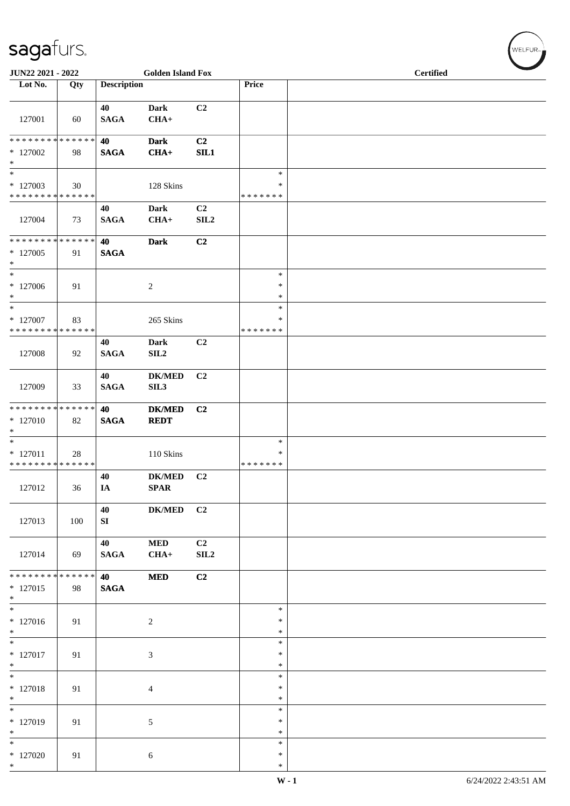| JUN22 2021 - 2022                                                       |                   |                       | <b>Golden Island Fox</b>     |                        |                                   | <b>Certified</b> |  |
|-------------------------------------------------------------------------|-------------------|-----------------------|------------------------------|------------------------|-----------------------------------|------------------|--|
| Lot No.                                                                 | Qty               | <b>Description</b>    |                              |                        | Price                             |                  |  |
| 127001                                                                  | 60                | 40<br><b>SAGA</b>     | <b>Dark</b><br>$CHA+$        | C2                     |                                   |                  |  |
| * * * * * * * * * * * * * *<br>$*127002$<br>$*$                         | 98                | 40<br><b>SAGA</b>     | <b>Dark</b><br>$CHA+$        | C2<br>SL1              |                                   |                  |  |
| $*$<br>$*127003$<br>* * * * * * * * * * * * * *                         | 30                |                       | 128 Skins                    |                        | $\ast$<br>$\ast$<br>* * * * * * * |                  |  |
| 127004                                                                  | 73                | 40<br><b>SAGA</b>     | <b>Dark</b><br>$CHA+$        | C <sub>2</sub><br>SLL2 |                                   |                  |  |
| **************<br>$*127005$<br>$*$                                      | 91                | 40<br><b>SAGA</b>     | <b>Dark</b>                  | C2                     |                                   |                  |  |
| $\overline{\ast}$<br>$*127006$<br>$\ast$                                | 91                |                       | $\overline{c}$               |                        | $\ast$<br>$\ast$<br>$\ast$        |                  |  |
| $*$<br>$*$ 127007<br>* * * * * * * * * * * * * *                        | 83                |                       | 265 Skins                    |                        | $\ast$<br>$\ast$<br>* * * * * * * |                  |  |
| 127008                                                                  | 92                | 40<br><b>SAGA</b>     | <b>Dark</b><br>SL2           | C2                     |                                   |                  |  |
| 127009                                                                  | 33                | 40<br><b>SAGA</b>     | <b>DK/MED</b><br>SIL3        | C <sub>2</sub>         |                                   |                  |  |
| * * * * * * * * * * * * * * *<br>$*127010$<br>$\ast$                    | 82                | 40<br><b>SAGA</b>     | <b>DK/MED</b><br><b>REDT</b> | C2                     |                                   |                  |  |
| $\overline{\phantom{0}}$<br>$* 127011$<br>* * * * * * * * * * * * * * * | 28                |                       | 110 Skins                    |                        | $\ast$<br>∗<br>* * * * * * *      |                  |  |
| 127012                                                                  | 36                | 40<br>IA              | <b>DK/MED</b><br>SPAR        | C <sub>2</sub>         |                                   |                  |  |
| 127013                                                                  | 100               | 40<br>SI              | $DK/MED$                     | C <sub>2</sub>         |                                   |                  |  |
| 127014                                                                  | 69                | 40<br>$\mathbf{SAGA}$ | <b>MED</b><br>$CHA+$         | C <sub>2</sub><br>SL2  |                                   |                  |  |
| * * * * * * * *<br>$*127015$<br>$*$                                     | * * * * * *<br>98 | 40<br><b>SAGA</b>     | <b>MED</b>                   | C2                     |                                   |                  |  |
| $*$<br>$* 127016$<br>$*$                                                | 91                |                       | $\overline{c}$               |                        | $\ast$<br>$\ast$<br>$\ast$        |                  |  |
| $\overline{\ast}$<br>$* 127017$<br>$*$                                  | 91                |                       | 3                            |                        | $\ast$<br>$\ast$<br>$\ast$        |                  |  |
| $*$<br>$* 127018$<br>$*$                                                | 91                |                       | $\overline{4}$               |                        | $\ast$<br>$\ast$<br>$\ast$        |                  |  |
| $*$<br>* 127019<br>$\ast$                                               | 91                |                       | 5                            |                        | $\ast$<br>$\ast$<br>$\ast$        |                  |  |
| $*127020$<br>$*$                                                        | 91                |                       | 6                            |                        | $\ast$<br>$\ast$<br>$\ast$        |                  |  |

WELFUR<sub>"</sub>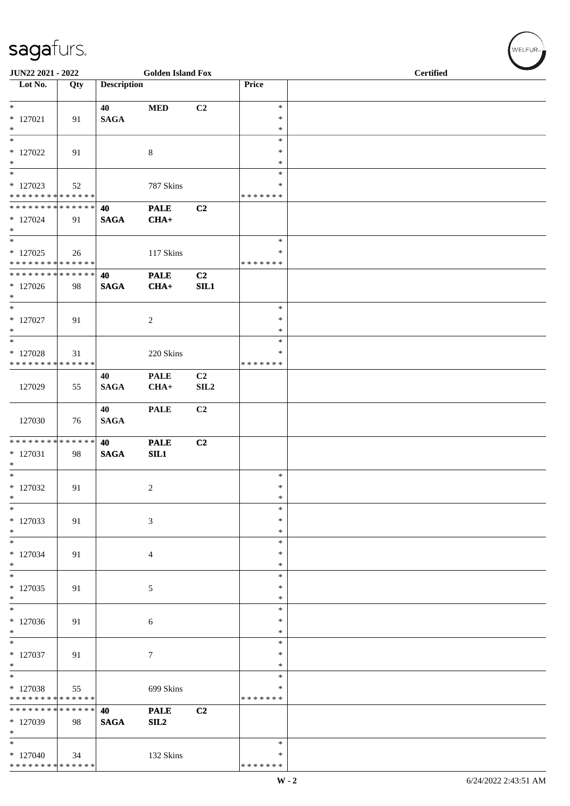| JUN22 2021 - 2022                                                        |     |                    | <b>Golden Island Fox</b> |            |                                   | <b>Certified</b> |
|--------------------------------------------------------------------------|-----|--------------------|--------------------------|------------|-----------------------------------|------------------|
| Lot No.                                                                  | Qty | <b>Description</b> |                          |            | Price                             |                  |
| $*$<br>$*127021$<br>$\ast$                                               | 91  | 40<br><b>SAGA</b>  | <b>MED</b>               | C2         | $\ast$<br>$\ast$<br>$\ast$        |                  |
| $\overline{\ast}$<br>$*127022$<br>$\ast$<br>$\overline{\phantom{0}}$     | 91  |                    | $\,8\,$                  |            | $\ast$<br>$\ast$<br>$\ast$        |                  |
| $*127023$<br>* * * * * * * * * * * * * * *                               | 52  |                    | 787 Skins                |            | $\ast$<br>$\ast$<br>* * * * * * * |                  |
| ******** <mark>******</mark><br>$*127024$<br>$*$                         | 91  | 40<br><b>SAGA</b>  | <b>PALE</b><br>$CHA+$    | C2         |                                   |                  |
| $_{\ast}^{-}$<br>$*127025$<br>* * * * * * * * * * * * * * *              | 26  |                    | 117 Skins                |            | $\ast$<br>$\ast$<br>* * * * * * * |                  |
| **************<br>$*127026$<br>$\ast$                                    | 98  | 40<br><b>SAGA</b>  | <b>PALE</b><br>$CHA+$    | C2<br>SIL1 |                                   |                  |
| $\overline{\phantom{a}^*}$<br>$*127027$<br>$\ast$                        | 91  |                    | $\overline{2}$           |            | $\ast$<br>$\ast$<br>$\ast$        |                  |
| $\overline{\phantom{1}}$<br>* 127028<br>* * * * * * * * * * * * * *      | 31  |                    | 220 Skins                |            | $\ast$<br>∗<br>* * * * * * *      |                  |
| 127029                                                                   | 55  | 40<br><b>SAGA</b>  | <b>PALE</b><br>$CHA+$    | C2<br>SLL2 |                                   |                  |
| 127030                                                                   | 76  | 40<br><b>SAGA</b>  | <b>PALE</b>              | C2         |                                   |                  |
| ******** <mark>******</mark><br>$*127031$<br>$\ast$<br>$\overline{\ast}$ | 98  | 40<br><b>SAGA</b>  | <b>PALE</b><br>SL1       | C2         |                                   |                  |
| $*127032$<br>$\ast$                                                      | 91  |                    | $\overline{2}$           |            | $\ast$<br>$\ast$<br>$\ast$        |                  |
| $\ast$<br>* 127033<br>$*$                                                | 91  |                    | 3                        |            | $\ast$<br>∗<br>$\ast$             |                  |
| $\ast$<br>$*127034$<br>$\ast$                                            | 91  |                    | $\overline{4}$           |            | $\ast$<br>$\ast$<br>$\ast$        |                  |
| $\ast$<br>$*127035$<br>$*$                                               | 91  |                    | $\mathfrak{S}$           |            | $\ast$<br>$\ast$<br>$\ast$        |                  |
| $\overline{\phantom{1}}$<br>$*127036$<br>$*$                             | 91  |                    | $\sqrt{6}$               |            | $\ast$<br>$\ast$<br>$\ast$        |                  |
| $\ast$<br>* 127037<br>$\ast$                                             | 91  |                    | $7\phantom{.0}$          |            | ∗<br>$\ast$<br>$\ast$             |                  |
| $\ast$<br>* 127038<br>* * * * * * * * * * * * * *                        | 55  |                    | 699 Skins                |            | $\ast$<br>∗<br>* * * * * * *      |                  |
| * * * * * * * * * * * * * *<br>$*127039$<br>$*$                          | 98  | 40<br><b>SAGA</b>  | <b>PALE</b><br>SL2       | C2         |                                   |                  |
| $\ast$<br>$*127040$<br>* * * * * * * * * * * * * *                       | 34  |                    | 132 Skins                |            | $\ast$<br>∗<br>* * * * * * *      |                  |

 $\left(\begin{smallmatrix} \mathsf{WELFUR}_{\mathbb{W}} \end{smallmatrix}\right)$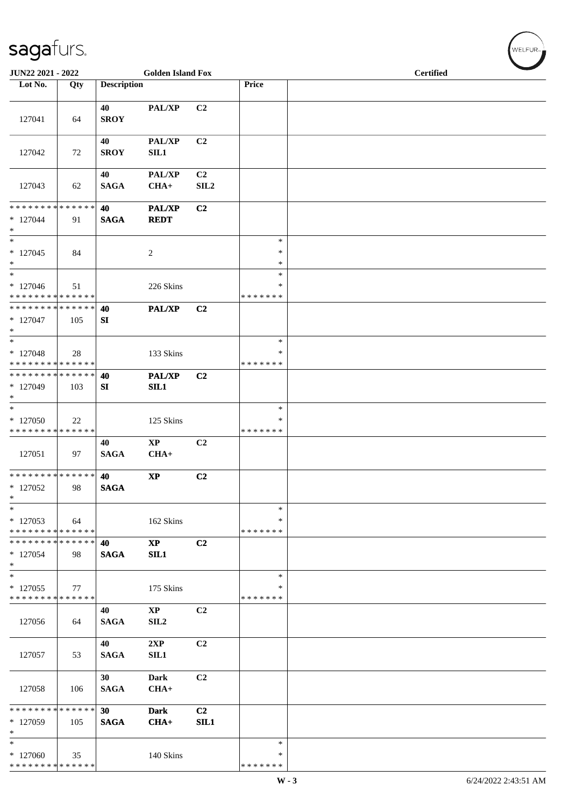| JUN22 2021 - 2022                                                    |     |                    | <b>Golden Island Fox</b>      |                        |                                   | <b>Certified</b> |  |  |  |
|----------------------------------------------------------------------|-----|--------------------|-------------------------------|------------------------|-----------------------------------|------------------|--|--|--|
| Lot No.                                                              | Qty | <b>Description</b> |                               |                        | Price                             |                  |  |  |  |
| 127041                                                               | 64  | 40<br><b>SROY</b>  | PAL/XP                        | C2                     |                                   |                  |  |  |  |
| 127042                                                               | 72  | 40<br><b>SROY</b>  | PAL/XP<br>SL1                 | C2                     |                                   |                  |  |  |  |
| 127043                                                               | 62  | 40<br><b>SAGA</b>  | <b>PAL/XP</b><br>$CHA+$       | C2<br>SIL <sub>2</sub> |                                   |                  |  |  |  |
| * * * * * * * * * * * * * *<br>$*127044$<br>$*$                      | 91  | 40<br><b>SAGA</b>  | PAL/XP<br><b>REDT</b>         | C2                     |                                   |                  |  |  |  |
| $\overline{\phantom{a}^*}$<br>$* 127045$<br>$*$                      | 84  |                    | 2                             |                        | $\ast$<br>$\ast$<br>$\ast$        |                  |  |  |  |
| $*$<br>$*127046$<br>* * * * * * * * * * * * * * *                    | 51  |                    | 226 Skins                     |                        | $\ast$<br>*<br>* * * * * * *      |                  |  |  |  |
| * * * * * * * * * * * * * * *<br>$*127047$<br>$*$                    | 105 | 40<br>SI           | PAL/XP                        | C <sub>2</sub>         |                                   |                  |  |  |  |
| $\overline{\phantom{0}}$<br>$*127048$<br>* * * * * * * * * * * * * * | 28  |                    | 133 Skins                     |                        | $\ast$<br>*<br>* * * * * * *      |                  |  |  |  |
| * * * * * * * * * * * * * * *<br>* 127049<br>$*$                     | 103 | 40<br>SI           | PAL/XP<br>SL1                 | C2                     |                                   |                  |  |  |  |
| $*$<br>$*127050$<br>* * * * * * * * * * * * * *                      | 22  |                    | 125 Skins                     |                        | $\ast$<br>$\ast$<br>* * * * * * * |                  |  |  |  |
| 127051                                                               | 97  | 40<br><b>SAGA</b>  | $\mathbf{XP}$<br>$CHA+$       | C2                     |                                   |                  |  |  |  |
| * * * * * * * * * * * * * * *<br>$*127052$<br>$\ast$                 | 98  | 40<br><b>SAGA</b>  | $\mathbf{X}\mathbf{P}$        | C2                     |                                   |                  |  |  |  |
| $\ast$<br>* 127053<br>* * * * * * * * * * * * * *                    | 64  |                    | 162 Skins                     |                        | $\ast$<br>$\ast$<br>* * * * * * * |                  |  |  |  |
| * * * * * * * * * * * * * * *<br>* 127054<br>$*$                     | 98  | 40<br><b>SAGA</b>  | $\mathbf{X}\mathbf{P}$<br>SL1 | C2                     |                                   |                  |  |  |  |
| $*$<br>* 127055<br>* * * * * * * * * * * * * *                       | 77  |                    | 175 Skins                     |                        | $\ast$<br>*<br>* * * * * * *      |                  |  |  |  |
| 127056                                                               | 64  | 40<br><b>SAGA</b>  | $\mathbf{XP}$<br>SL2          | C2                     |                                   |                  |  |  |  |
| 127057                                                               | 53  | 40<br><b>SAGA</b>  | 2XP<br>SIL1                   | C2                     |                                   |                  |  |  |  |
| 127058                                                               | 106 | 30<br><b>SAGA</b>  | Dark<br>$CHA+$                | C2                     |                                   |                  |  |  |  |
| * * * * * * * * * * * * * *<br>* 127059<br>$\ast$                    | 105 | 30<br><b>SAGA</b>  | <b>Dark</b><br>$CHA+$         | C <sub>2</sub><br>SIL1 |                                   |                  |  |  |  |
| $\overline{\phantom{0}}$<br>$*127060$<br>* * * * * * * * * * * * * * | 35  |                    | 140 Skins                     |                        | $\ast$<br>*<br>* * * * * * *      |                  |  |  |  |

 $(\sqrt{\text{WELFUR}_{\text{max}}})$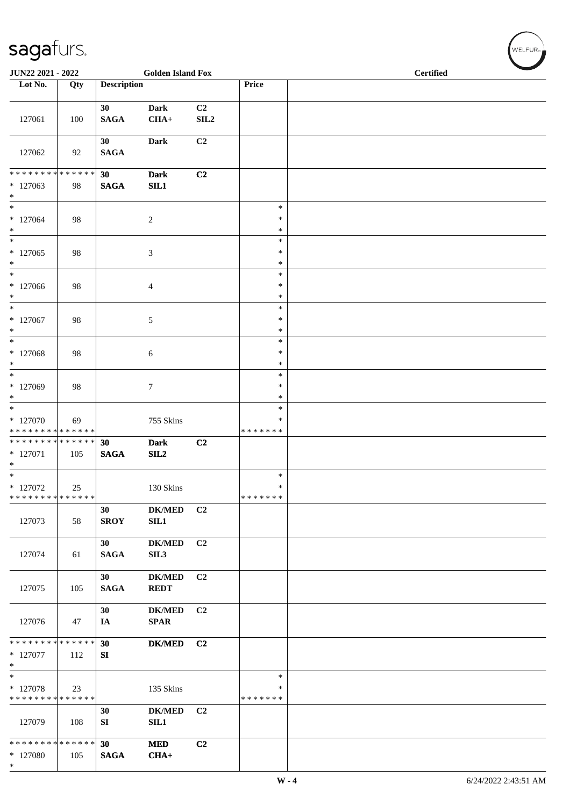| JUN22 2021 - 2022                                       |     |                       | <b>Golden Island Fox</b>     |                                    |                                   | <b>Certified</b> |
|---------------------------------------------------------|-----|-----------------------|------------------------------|------------------------------------|-----------------------------------|------------------|
| Lot No.                                                 | Qty | <b>Description</b>    |                              |                                    | Price                             |                  |
| 127061                                                  | 100 | 30<br><b>SAGA</b>     | <b>Dark</b><br>$CHA+$        | C <sub>2</sub><br>SIL <sub>2</sub> |                                   |                  |
| 127062                                                  | 92  | 30<br><b>SAGA</b>     | <b>Dark</b>                  | C2                                 |                                   |                  |
| * * * * * * * * * * * * * *<br>$*127063$<br>$*$         | 98  | 30<br><b>SAGA</b>     | <b>Dark</b><br>SL1           | C2                                 |                                   |                  |
| $\ast$<br>$*127064$<br>$*$                              | 98  |                       | $\overline{c}$               |                                    | $\ast$<br>$\ast$<br>$\ast$        |                  |
| $*$<br>$*127065$<br>$\ast$                              | 98  |                       | 3                            |                                    | $\ast$<br>$\ast$<br>$\ast$        |                  |
| $\overline{\phantom{0}}$<br>$*127066$<br>$*$            | 98  |                       | 4                            |                                    | $\ast$<br>∗<br>$\ast$             |                  |
| $*$<br>$*127067$<br>$\ast$                              | 98  |                       | 5                            |                                    | $\ast$<br>$\ast$<br>$\ast$        |                  |
| $*$<br>$* 127068$<br>$\ast$                             | 98  |                       | 6                            |                                    | $\ast$<br>$\ast$<br>$\ast$        |                  |
| * 127069<br>$*$                                         | 98  |                       | 7                            |                                    | $\ast$<br>∗<br>$\ast$             |                  |
| $\ast$<br>$*127070$<br>* * * * * * * * * * * * * *      | 69  |                       | 755 Skins                    |                                    | $\ast$<br>∗<br>* * * * * * *      |                  |
| * * * * * * * * * * * * * * *<br>* 127071<br>$*$<br>$*$ | 105 | 30<br>$\mathbf{SAGA}$ | <b>Dark</b><br>SL2           | C2                                 |                                   |                  |
| * 127072<br>* * * * * * * * * * * * * * *               | 25  |                       | 130 Skins                    |                                    | $\ast$<br>$\ast$<br>* * * * * * * |                  |
| 127073                                                  | 58  | 30<br><b>SROY</b>     | <b>DK/MED</b><br>SL1         | C <sub>2</sub>                     |                                   |                  |
| 127074                                                  | 61  | 30<br><b>SAGA</b>     | <b>DK/MED</b><br>SIL3        | C <sub>2</sub>                     |                                   |                  |
| 127075                                                  | 105 | 30<br><b>SAGA</b>     | <b>DK/MED</b><br><b>REDT</b> | C <sub>2</sub>                     |                                   |                  |
| 127076                                                  | 47  | 30<br>IA              | <b>DK/MED</b><br><b>SPAR</b> | C <sub>2</sub>                     |                                   |                  |
| * * * * * * * * * * * * * * *<br>$*$ 127077<br>$*$      | 112 | 30<br>SI              | <b>DK/MED</b>                | C <sub>2</sub>                     |                                   |                  |
| * 127078<br>* * * * * * * * * * * * * *                 | 23  |                       | 135 Skins                    |                                    | $\ast$<br>∗<br>* * * * * * *      |                  |
| 127079                                                  | 108 | 30<br>SI              | <b>DK/MED</b><br>SIL1        | C <sub>2</sub>                     |                                   |                  |
| * * * * * * * * * * * * * * *<br>* 127080<br>$*$        | 105 | 30<br><b>SAGA</b>     | <b>MED</b><br>$CHA+$         | C2                                 |                                   |                  |

 $(w$ ELFUR<sub><sup>n</sub></sub></sub></sup>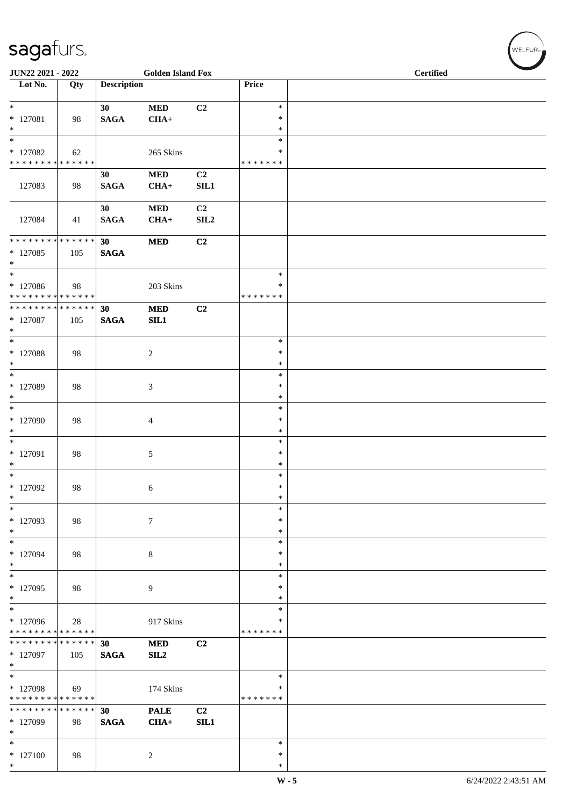| <b>JUN22 2021 - 2022</b>                                                           |     |                    | <b>Golden Island Fox</b> |                        |                                   | <b>Certified</b> |  |  |  |  |
|------------------------------------------------------------------------------------|-----|--------------------|--------------------------|------------------------|-----------------------------------|------------------|--|--|--|--|
| Lot No.                                                                            | Qty | <b>Description</b> |                          |                        | Price                             |                  |  |  |  |  |
| $*$<br>* 127081<br>$*$                                                             | 98  | 30<br><b>SAGA</b>  | <b>MED</b><br>$CHA+$     | C2                     | $\ast$<br>$\ast$<br>$\ast$        |                  |  |  |  |  |
| $_{*}$<br>$*127082$<br>* * * * * * * * * * * * * * *                               | 62  |                    | 265 Skins                |                        | $\ast$<br>$\ast$<br>*******       |                  |  |  |  |  |
| 127083                                                                             | 98  | 30<br><b>SAGA</b>  | <b>MED</b><br>$CHA+$     | C2<br>SL1              |                                   |                  |  |  |  |  |
| 127084                                                                             | 41  | 30<br><b>SAGA</b>  | <b>MED</b><br>$CHA+$     | C <sub>2</sub><br>SLL2 |                                   |                  |  |  |  |  |
| * * * * * * * * <mark>* * * * * * *</mark><br>$*127085$<br>$*$                     | 105 | 30<br><b>SAGA</b>  | <b>MED</b>               | C2                     |                                   |                  |  |  |  |  |
| $\overline{\phantom{0}}$<br>* 127086<br>* * * * * * * * <mark>* * * * * * *</mark> | 98  |                    | 203 Skins                |                        | $\ast$<br>*<br>* * * * * * *      |                  |  |  |  |  |
| * * * * * * * * <mark>* * * * * * *</mark><br>* 127087<br>$*$                      | 105 | 30<br><b>SAGA</b>  | <b>MED</b><br>SIL1       | C2                     |                                   |                  |  |  |  |  |
| $\overline{\ }$<br>* 127088<br>$*$                                                 | 98  |                    | $\overline{2}$           |                        | $\ast$<br>$\ast$<br>$\ast$        |                  |  |  |  |  |
| $\ast$<br>* 127089<br>$*$                                                          | 98  |                    | $\mathfrak{Z}$           |                        | $\ast$<br>$\ast$<br>$\ast$        |                  |  |  |  |  |
| $\ast$<br>* 127090<br>$*$                                                          | 98  |                    | $\overline{4}$           |                        | $\ast$<br>$\ast$<br>$\ast$        |                  |  |  |  |  |
| $*$<br>* 127091<br>$*$                                                             | 98  |                    | 5                        |                        | $\ast$<br>$\ast$<br>$\ast$        |                  |  |  |  |  |
| * 127092<br>$\ast$                                                                 | 98  |                    | 6                        |                        | $\ast$<br>$\ast$<br>$\ast$        |                  |  |  |  |  |
| $*$<br>* 127093<br>$*$                                                             | 98  |                    | $\overline{7}$           |                        | $\ast$<br>$\ast$<br>$\ast$        |                  |  |  |  |  |
| $\ast$<br>* 127094<br>$\ast$                                                       | 98  |                    | $\,8\,$                  |                        | $\ast$<br>$\ast$<br>$\ast$        |                  |  |  |  |  |
| $*$<br>$*127095$<br>$*$                                                            | 98  |                    | 9                        |                        | $\ast$<br>$\ast$<br>$\ast$        |                  |  |  |  |  |
| $*$<br>* 127096<br>* * * * * * * * * * * * * *                                     | 28  |                    | 917 Skins                |                        | $\ast$<br>$\ast$<br>* * * * * * * |                  |  |  |  |  |
| * * * * * * * * * * * * * * <mark>*</mark><br>* 127097<br>$\ast$                   | 105 | 30<br><b>SAGA</b>  | <b>MED</b><br>SL2        | C <sub>2</sub>         |                                   |                  |  |  |  |  |
| $*$<br>* 127098<br>* * * * * * * * * * * * * *                                     | 69  |                    | 174 Skins                |                        | $\ast$<br>∗<br>* * * * * * *      |                  |  |  |  |  |
| * * * * * * * * * * * * * *<br>* 127099<br>$*$                                     | 98  | 30<br><b>SAGA</b>  | <b>PALE</b><br>$CHA+$    | C2<br>SIL1             |                                   |                  |  |  |  |  |
| $*$<br>* 127100<br>$*$                                                             | 98  |                    | 2                        |                        | $\ast$<br>$\ast$<br>$\ast$        |                  |  |  |  |  |

 $(\mathsf{WELFUR}_{\approx})$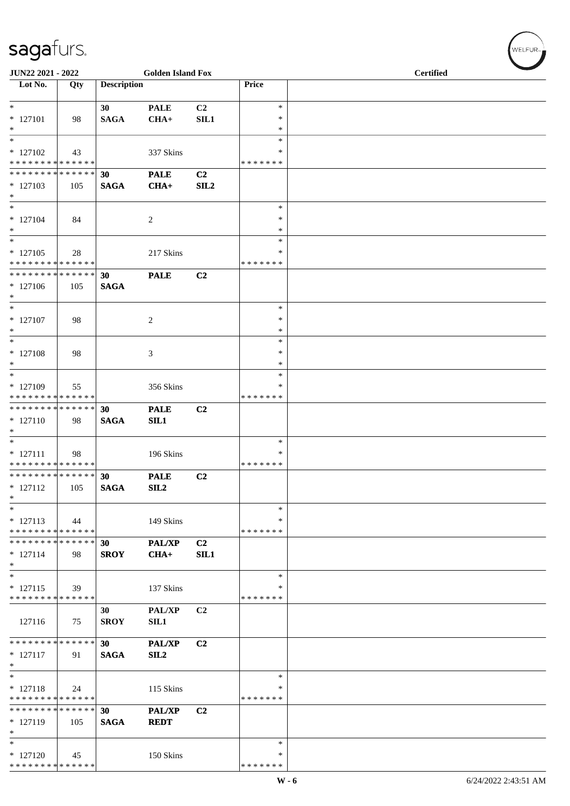| JUN22 2021 - 2022                                            |     |                    | <b>Golden Island Fox</b> |                |                    | <b>Certified</b> |  |  |  |
|--------------------------------------------------------------|-----|--------------------|--------------------------|----------------|--------------------|------------------|--|--|--|
| Lot No.                                                      | Qty | <b>Description</b> |                          |                | Price              |                  |  |  |  |
| $\ast$                                                       |     | 30 <sup>°</sup>    | <b>PALE</b>              | C <sub>2</sub> | $\ast$             |                  |  |  |  |
| $* 127101$                                                   | 98  | <b>SAGA</b>        | $CHA+$                   | SIL1           | $\ast$             |                  |  |  |  |
| $\ast$<br>$\overline{\ast}$                                  |     |                    |                          |                | *<br>$\ast$        |                  |  |  |  |
| $* 127102$                                                   | 43  |                    | 337 Skins                |                | *                  |                  |  |  |  |
| * * * * * * * * * * * * * * *                                |     |                    |                          |                | * * * * * * *      |                  |  |  |  |
| ******** <mark>******</mark><br>$*127103$                    | 105 | 30<br><b>SAGA</b>  | <b>PALE</b><br>$CHA+$    | C2<br>SL2      |                    |                  |  |  |  |
| $\ast$                                                       |     |                    |                          |                |                    |                  |  |  |  |
| $\ast$                                                       |     |                    |                          |                | $\ast$<br>$\ast$   |                  |  |  |  |
| $* 127104$<br>$\ast$                                         | 84  |                    | $\overline{c}$           |                | *                  |                  |  |  |  |
| $\ast$                                                       |     |                    |                          |                | $\ast$             |                  |  |  |  |
| $* 127105$<br>* * * * * * * * * * * * * *                    | 28  |                    | 217 Skins                |                | *<br>* * * * * * * |                  |  |  |  |
| **************                                               |     | 30                 | <b>PALE</b>              | C2             |                    |                  |  |  |  |
| $*127106$<br>$\ast$                                          | 105 | <b>SAGA</b>        |                          |                |                    |                  |  |  |  |
| $\ast$                                                       |     |                    |                          |                | $\ast$             |                  |  |  |  |
| $* 127107$                                                   | 98  |                    | $\overline{c}$           |                | $\ast$             |                  |  |  |  |
| $\ast$<br>$\ast$                                             |     |                    |                          |                | $\ast$<br>$\ast$   |                  |  |  |  |
| $* 127108$                                                   | 98  |                    | 3                        |                | $\ast$             |                  |  |  |  |
| $\ast$<br>$\ast$                                             |     |                    |                          |                | $\ast$<br>$\ast$   |                  |  |  |  |
| $* 127109$                                                   | 55  |                    | 356 Skins                |                | ∗                  |                  |  |  |  |
| ******** <mark>******</mark>                                 |     |                    |                          |                | * * * * * * *      |                  |  |  |  |
| **************<br>$* 127110$                                 | 98  | 30<br><b>SAGA</b>  | <b>PALE</b><br>SL1       | C2             |                    |                  |  |  |  |
| $*$                                                          |     |                    |                          |                |                    |                  |  |  |  |
| $*$                                                          |     |                    |                          |                | ∗<br>*             |                  |  |  |  |
| $* 127111$<br>******** <mark>******</mark>                   | 98  |                    | 196 Skins                |                | * * * * * * *      |                  |  |  |  |
| ******** <mark>******</mark>                                 |     | 30                 | <b>PALE</b>              | C <sub>2</sub> |                    |                  |  |  |  |
| $* 127112$<br>$\ast$                                         | 105 | <b>SAGA</b>        | SL2                      |                |                    |                  |  |  |  |
| $\ast$                                                       |     |                    |                          |                | $\ast$             |                  |  |  |  |
| $* 127113$                                                   | 44  |                    | 149 Skins                |                | ∗<br>* * * * * * * |                  |  |  |  |
| * * * * * * * * * * * * * *<br>* * * * * * * * * * * * * * * |     | 30                 | <b>PAL/XP</b>            | C <sub>2</sub> |                    |                  |  |  |  |
| $* 127114$                                                   | 98  | <b>SROY</b>        | $CHA+$                   | SIL1           |                    |                  |  |  |  |
| $\ast$<br>$\ast$                                             |     |                    |                          |                | $\ast$             |                  |  |  |  |
| $* 127115$                                                   | 39  |                    | 137 Skins                |                | ∗                  |                  |  |  |  |
| * * * * * * * * * * * * * *                                  |     |                    |                          |                | * * * * * * *      |                  |  |  |  |
| 127116                                                       | 75  | 30<br><b>SROY</b>  | PAL/XP<br>SIL1           | C <sub>2</sub> |                    |                  |  |  |  |
|                                                              |     |                    |                          |                |                    |                  |  |  |  |
| * * * * * * * * * * * * * *<br>$* 127117$                    | 91  | 30<br><b>SAGA</b>  | <b>PAL/XP</b><br>SL2     | C <sub>2</sub> |                    |                  |  |  |  |
| $\ast$                                                       |     |                    |                          |                |                    |                  |  |  |  |
| $\ast$                                                       |     |                    |                          |                | $\ast$<br>∗        |                  |  |  |  |
| $* 127118$<br>* * * * * * * * * * * * * *                    | 24  |                    | 115 Skins                |                | * * * * * * *      |                  |  |  |  |
| * * * * * * * * * * * * * *                                  |     | 30                 | <b>PAL/XP</b>            | C <sub>2</sub> |                    |                  |  |  |  |
| $* 127119$<br>$\ast$                                         | 105 | <b>SAGA</b>        | <b>REDT</b>              |                |                    |                  |  |  |  |
| $\ast$                                                       |     |                    |                          |                | ∗                  |                  |  |  |  |
| $* 127120$<br>* * * * * * * * * * * * * *                    | 45  |                    | 150 Skins                |                | ∗<br>* * * * * * * |                  |  |  |  |
|                                                              |     |                    |                          |                |                    |                  |  |  |  |

 $(\overbrace{\text{WELFUR}_{\text{IV}}})$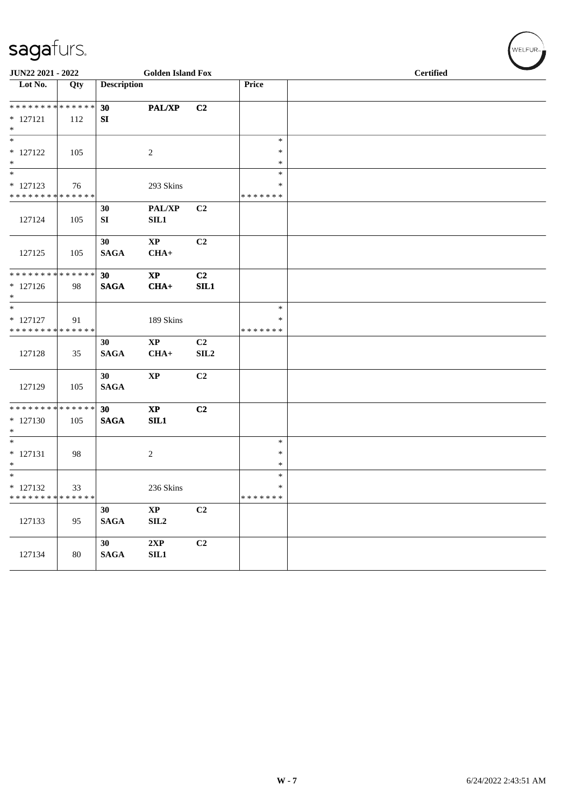| JUN22 2021 - 2022                    |     |                    | <b>Golden Island Fox</b> |                |               | <b>Certified</b> |
|--------------------------------------|-----|--------------------|--------------------------|----------------|---------------|------------------|
| Lot No.                              | Qty | <b>Description</b> |                          |                | Price         |                  |
|                                      |     |                    |                          |                |               |                  |
| **************                       |     | 30                 | PAL/XP                   | C2             |               |                  |
| $* 127121$                           | 112 | SI                 |                          |                |               |                  |
| $\ast$<br>$\overline{\phantom{a}^*}$ |     |                    |                          |                | $\ast$        |                  |
| $* 127122$                           |     |                    |                          |                | $\ast$        |                  |
| $\ast$                               | 105 |                    | $\sqrt{2}$               |                | $\ast$        |                  |
| $*$                                  |     |                    |                          |                | $\ast$        |                  |
| $* 127123$                           | 76  |                    | 293 Skins                |                | $\ast$        |                  |
| * * * * * * * * * * * * * *          |     |                    |                          |                | *******       |                  |
|                                      |     | 30                 | PAL/XP                   | C2             |               |                  |
| 127124                               | 105 | SI                 | SIL1                     |                |               |                  |
|                                      |     |                    |                          |                |               |                  |
|                                      |     | 30                 | $\mathbf{X}\mathbf{P}$   | C2             |               |                  |
| 127125                               | 105 | <b>SAGA</b>        | $CHA+$                   |                |               |                  |
|                                      |     |                    |                          |                |               |                  |
| **************                       |     | 30                 | $\bold{XP}$              | C2             |               |                  |
| $* 127126$<br>$\ast$                 | 98  | <b>SAGA</b>        | $CHA+$                   | SIL1           |               |                  |
| $\overline{\phantom{a}^*}$           |     |                    |                          |                | $\ast$        |                  |
| $* 127127$                           | 91  |                    | 189 Skins                |                | ∗             |                  |
| **************                       |     |                    |                          |                | * * * * * * * |                  |
|                                      |     | 30                 | $\bold{XP}$              | C2             |               |                  |
| 127128                               | 35  | <b>SAGA</b>        | $CHA+$                   | SLL2           |               |                  |
|                                      |     |                    |                          |                |               |                  |
|                                      |     | 30                 | $\bold{XP}$              | C <sub>2</sub> |               |                  |
| 127129                               | 105 | <b>SAGA</b>        |                          |                |               |                  |
|                                      |     |                    |                          |                |               |                  |
| ******** <mark>******</mark>         |     | 30                 | $\bold{XP}$              | C2             |               |                  |
| $* 127130$<br>$\ast$                 | 105 | $\mathbf{SAGA}$    | SL1                      |                |               |                  |
| $\overline{\phantom{0}}$             |     |                    |                          |                | $\ast$        |                  |
| $* 127131$                           | 98  |                    | $\overline{c}$           |                | ∗             |                  |
| $\ast$                               |     |                    |                          |                | $\ast$        |                  |
| $\overline{\ast}$                    |     |                    |                          |                | $\ast$        |                  |
| $* 127132$                           | 33  |                    | 236 Skins                |                | $\ast$        |                  |
| * * * * * * * * * * * * * *          |     |                    |                          |                | * * * * * * * |                  |
|                                      |     | 30                 | $\mathbf{XP}$            | C2             |               |                  |
| 127133                               | 95  | $\mathbf{SAGA}$    | SIL <sub>2</sub>         |                |               |                  |
|                                      |     |                    |                          |                |               |                  |
|                                      |     | 30 <sup>1</sup>    | 2XP                      | C2             |               |                  |
| 127134                               | 80  | $\mathbf{SAGA}$    | SIL1                     |                |               |                  |
|                                      |     |                    |                          |                |               |                  |

 $w$ ELFUR<sub><sup>n</sub></sub></sub></sup>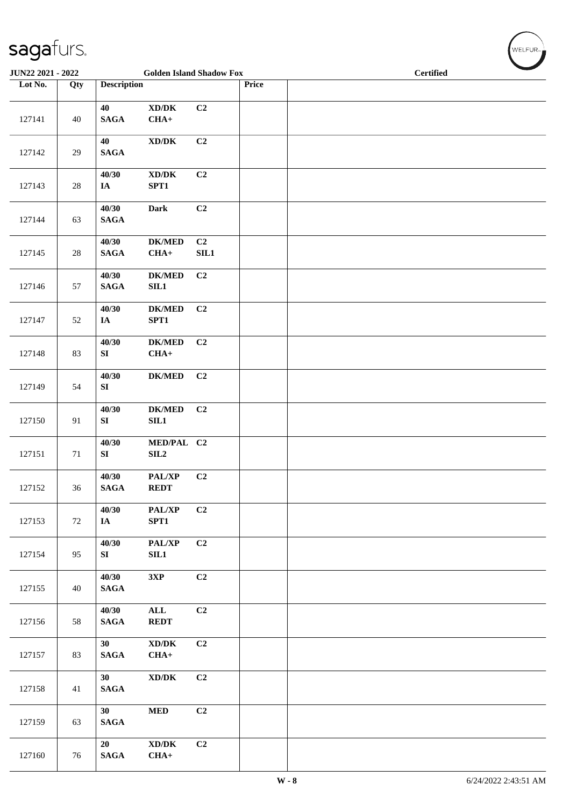| <b>JUN22 2021 - 2022</b> |        |                                | <b>Golden Island Shadow Fox</b>                        |                |       | <b>Certified</b> |
|--------------------------|--------|--------------------------------|--------------------------------------------------------|----------------|-------|------------------|
| Lot No.                  | Qty    | <b>Description</b>             |                                                        |                | Price |                  |
| 127141                   | 40     | 40<br>$\mathbf{SAGA}$          | $\bold{X}\bold{D}/\bold{D}\bold{K}$<br>$CHA+$          | C <sub>2</sub> |       |                  |
| 127142                   | 29     | 40<br><b>SAGA</b>              | $\bold{X}\bold{D}/\bold{D}\bold{K}$                    | C2             |       |                  |
| 127143                   | $28\,$ | 40/30<br>IA                    | $\bold{X}\bold{D}/\bold{D}\bold{K}$<br>SPT1            | C2             |       |                  |
| 127144                   | 63     | 40/30<br>$\mathbf{SAGA}$       | <b>Dark</b>                                            | C2             |       |                  |
| 127145                   | $28\,$ | 40/30<br><b>SAGA</b>           | <b>DK/MED</b><br>$CHA+$                                | C2<br>SLL1     |       |                  |
| 127146                   | 57     | 40/30<br><b>SAGA</b>           | $DK/MED$<br>SL1                                        | C2             |       |                  |
| 127147                   | 52     | 40/30<br>IA                    | $DK/MED$<br>SPT1                                       | C <sub>2</sub> |       |                  |
| 127148                   | 83     | 40/30<br>${\bf SI}$            | $DK/MED$<br>$CHA+$                                     | C <sub>2</sub> |       |                  |
| 127149                   | 54     | 40/30<br>SI                    | $DK/MED$                                               | C <sub>2</sub> |       |                  |
| 127150                   | 91     | 40/30<br>SI                    | $DK/MED$<br>SL1                                        | C <sub>2</sub> |       |                  |
| 127151                   | $71\,$ | 40/30<br>${\bf S}{\bf I}$      | MED/PAL C2<br>SL2                                      |                |       |                  |
| 127152                   | 36     | 40/30<br><b>SAGA</b>           | PAL/XP<br><b>REDT</b>                                  | C2             |       |                  |
| 127153                   | 72     | 40/30<br>IA                    | PAL/XP<br>SPT1                                         | C2             |       |                  |
| 127154                   | 95     | 40/30<br>SI                    | PAL/XP<br><b>SIL1</b>                                  | C2             |       |                  |
| 127155                   | 40     | 40/30<br>$\mathbf{SAGA}$       | 3XP                                                    | C2             |       |                  |
| 127156                   | 58     | 40/30<br>$\mathbf{SAGA}$       | $\mathbf{ALL}$<br><b>REDT</b>                          | C2             |       |                  |
| 127157                   | 83     | 30 <sup>°</sup><br><b>SAGA</b> | $\boldsymbol{\text{XD}/\text{DK}}$<br>$CHA+$           | C2             |       |                  |
| 127158                   | 41     | 30<br><b>SAGA</b>              | $\bold{X}\bold{D}/\bold{D}\bold{K}$                    | C2             |       |                  |
| 127159                   | 63     | 30<br><b>SAGA</b>              | <b>MED</b>                                             | C2             |       |                  |
| 127160                   | 76     | 20<br><b>SAGA</b>              | $\bold{X}\bold{D}/\bold{D}\bold{K}$<br>$\textbf{CHA+}$ | C2             |       |                  |

 $w$ ELFUR<sub><sup>n</sub></sub></sub></sup>